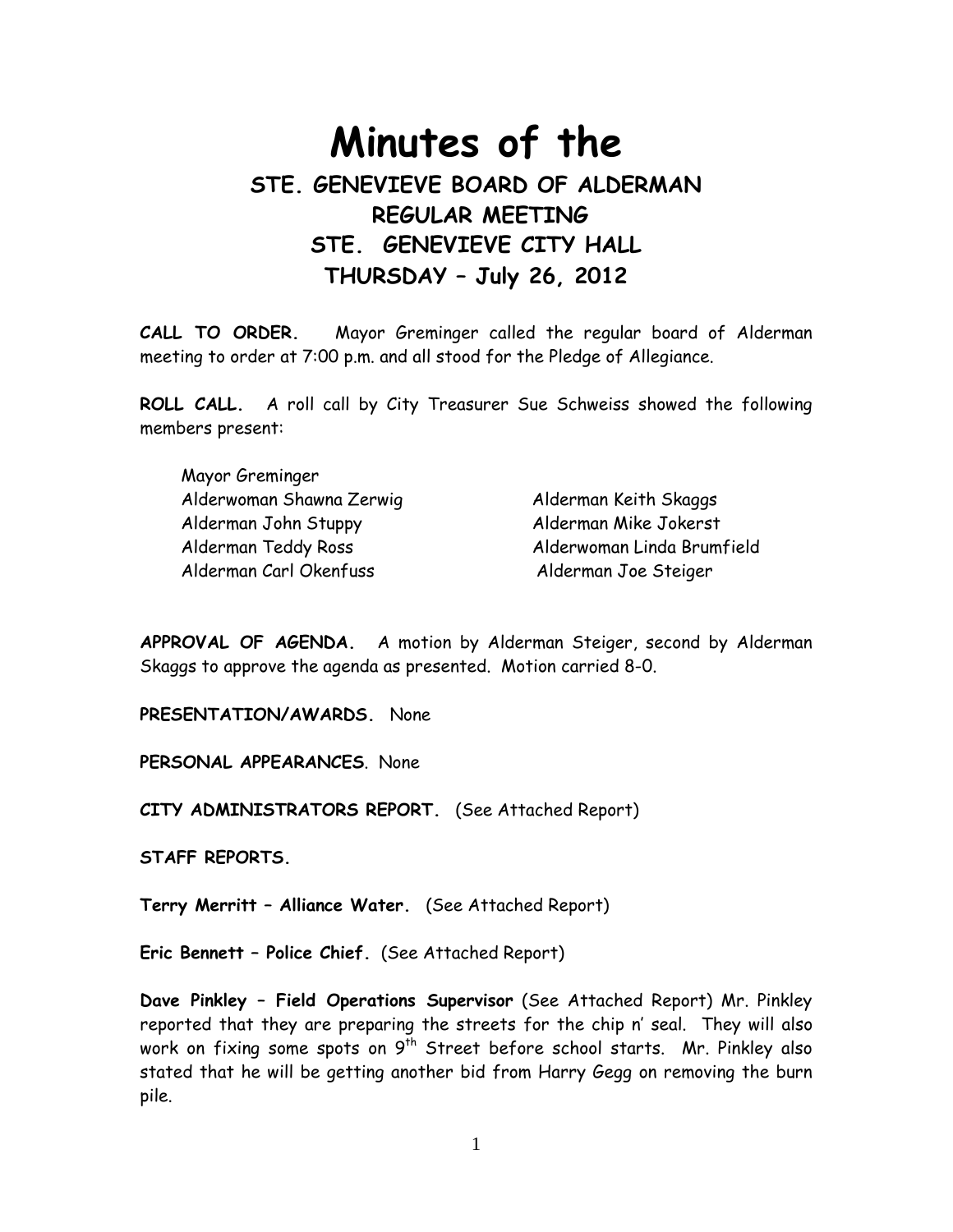# Minutes of the STE. GENEVIEVE BOARD OF ALDERMAN REGULAR MEETING STE. GENEVIEVE CITY HALL THURSDAY – July 26, 2012

CALL TO ORDER. Mayor Greminger called the regular board of Alderman meeting to order at 7:00 p.m. and all stood for the Pledge of Allegiance.

ROLL CALL. A roll call by City Treasurer Sue Schweiss showed the following members present:

| Mayor Greminger          |                            |
|--------------------------|----------------------------|
| Alderwoman Shawna Zerwig | Alderman Keith Skaggs      |
| Alderman John Stuppy     | Alderman Mike Jokerst      |
| Alderman Teddy Ross      | Alderwoman Linda Brumfield |
| Alderman Carl Okenfuss   | Alderman Joe Steiger       |

APPROVAL OF AGENDA. A motion by Alderman Steiger, second by Alderman Skaggs to approve the agenda as presented. Motion carried 8-0.

PRESENTATION/AWARDS. None

PERSONAL APPEARANCES. None

CITY ADMINISTRATORS REPORT. (See Attached Report)

STAFF REPORTS.

Terry Merritt – Alliance Water. (See Attached Report)

Eric Bennett – Police Chief. (See Attached Report)

Dave Pinkley – Field Operations Supervisor (See Attached Report) Mr. Pinkley reported that they are preparing the streets for the chip n' seal. They will also work on fixing some spots on 9<sup>th</sup> Street before school starts. Mr. Pinkley also stated that he will be getting another bid from Harry Gegg on removing the burn pile.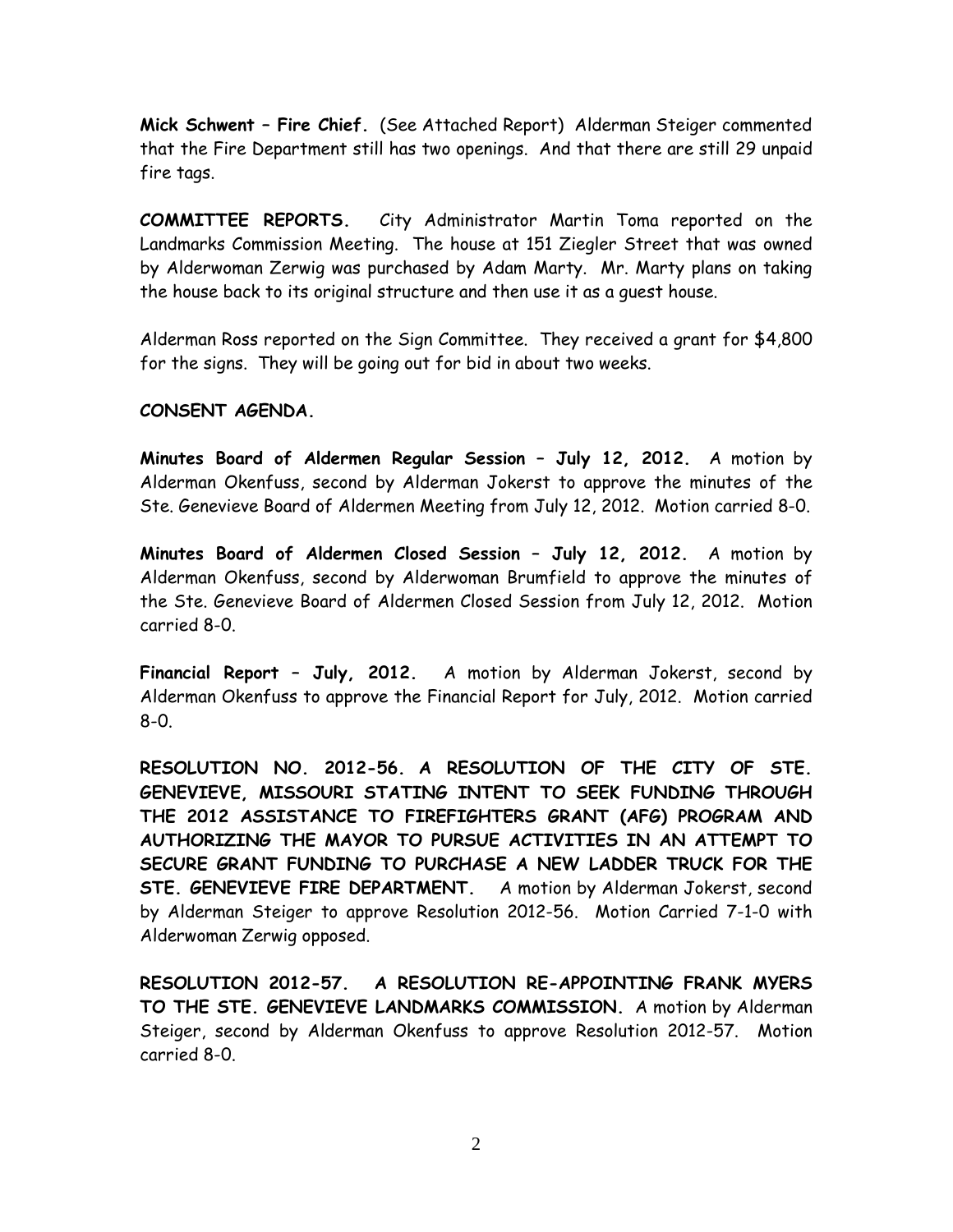Mick Schwent – Fire Chief. (See Attached Report) Alderman Steiger commented that the Fire Department still has two openings. And that there are still 29 unpaid fire tags.

COMMITTEE REPORTS. City Administrator Martin Toma reported on the Landmarks Commission Meeting. The house at 151 Ziegler Street that was owned by Alderwoman Zerwig was purchased by Adam Marty. Mr. Marty plans on taking the house back to its original structure and then use it as a guest house.

Alderman Ross reported on the Sign Committee. They received a grant for \$4,800 for the signs. They will be going out for bid in about two weeks.

# CONSENT AGENDA.

Minutes Board of Aldermen Regular Session – July 12, 2012. A motion by Alderman Okenfuss, second by Alderman Jokerst to approve the minutes of the Ste. Genevieve Board of Aldermen Meeting from July 12, 2012. Motion carried 8-0.

Minutes Board of Aldermen Closed Session – July 12, 2012. A motion by Alderman Okenfuss, second by Alderwoman Brumfield to approve the minutes of the Ste. Genevieve Board of Aldermen Closed Session from July 12, 2012. Motion carried 8-0.

Financial Report - July, 2012. A motion by Alderman Jokerst, second by Alderman Okenfuss to approve the Financial Report for July, 2012. Motion carried 8-0.

RESOLUTION NO. 2012-56. A RESOLUTION OF THE CITY OF STE. GENEVIEVE, MISSOURI STATING INTENT TO SEEK FUNDING THROUGH THE 2012 ASSISTANCE TO FIREFIGHTERS GRANT (AFG) PROGRAM AND AUTHORIZING THE MAYOR TO PURSUE ACTIVITIES IN AN ATTEMPT TO SECURE GRANT FUNDING TO PURCHASE A NEW LADDER TRUCK FOR THE STE. GENEVIEVE FIRE DEPARTMENT. A motion by Alderman Jokerst, second by Alderman Steiger to approve Resolution 2012-56. Motion Carried 7-1-0 with Alderwoman Zerwig opposed.

RESOLUTION 2012-57. A RESOLUTION RE-APPOINTING FRANK MYERS TO THE STE. GENEVIEVE LANDMARKS COMMISSION. A motion by Alderman Steiger, second by Alderman Okenfuss to approve Resolution 2012-57. Motion carried 8-0.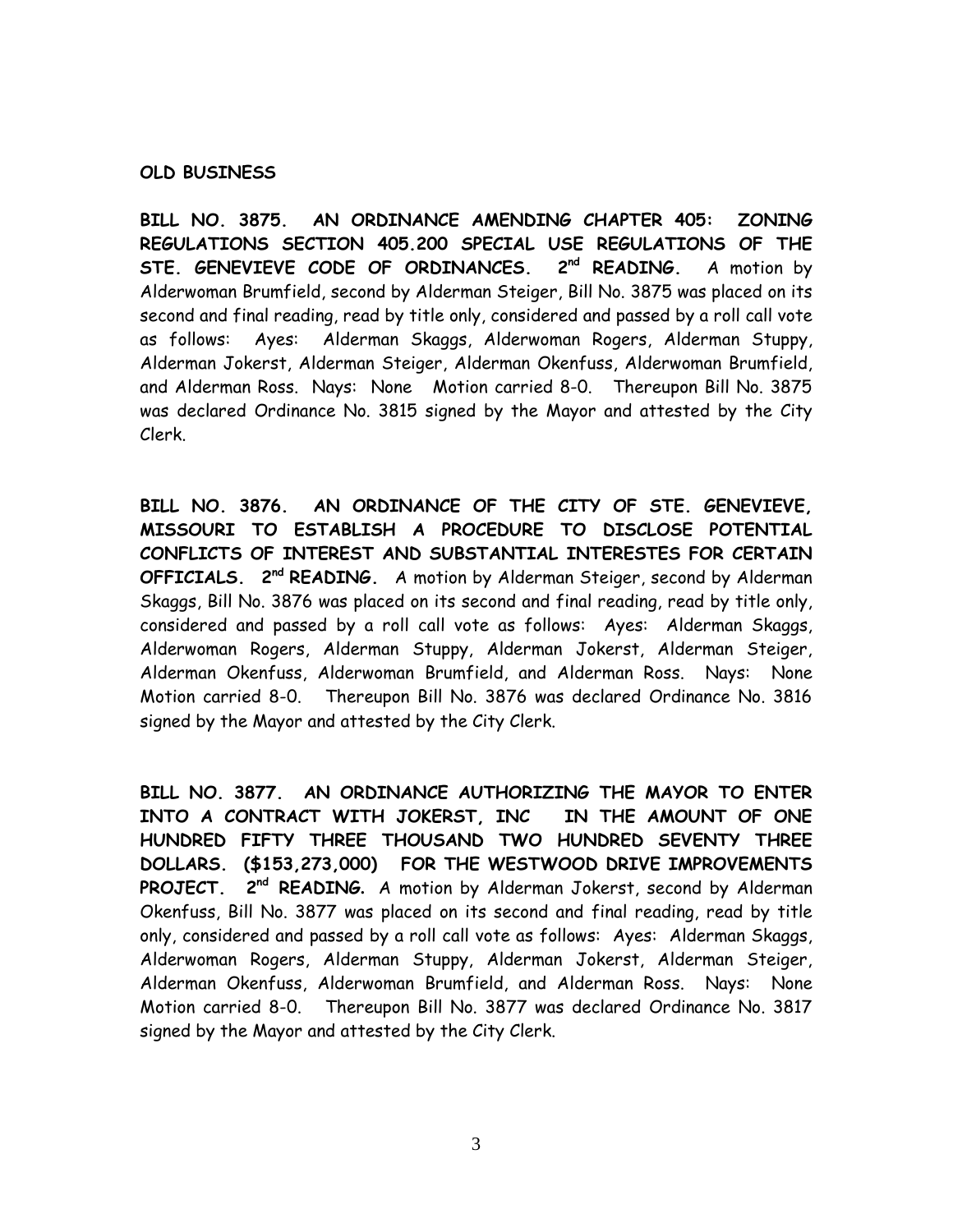#### OLD BUSINESS

BILL NO. 3875. AN ORDINANCE AMENDING CHAPTER 405: ZONING REGULATIONS SECTION 405.200 SPECIAL USE REGULATIONS OF THE STE. GENEVIEVE CODE OF ORDINANCES. 2<sup>nd</sup> READING. A motion by Alderwoman Brumfield, second by Alderman Steiger, Bill No. 3875 was placed on its second and final reading, read by title only, considered and passed by a roll call vote as follows: Ayes: Alderman Skaggs, Alderwoman Rogers, Alderman Stuppy, Alderman Jokerst, Alderman Steiger, Alderman Okenfuss, Alderwoman Brumfield, and Alderman Ross. Nays: None Motion carried 8-0. Thereupon Bill No. 3875 was declared Ordinance No. 3815 signed by the Mayor and attested by the City Clerk.

BILL NO. 3876. AN ORDINANCE OF THE CITY OF STE. GENEVIEVE, MISSOURI TO ESTABLISH A PROCEDURE TO DISCLOSE POTENTIAL CONFLICTS OF INTEREST AND SUBSTANTIAL INTERESTES FOR CERTAIN **OFFICIALS.** 2<sup>nd</sup> READING. A motion by Alderman Steiger, second by Alderman Skaggs, Bill No. 3876 was placed on its second and final reading, read by title only, considered and passed by a roll call vote as follows: Ayes: Alderman Skaggs, Alderwoman Rogers, Alderman Stuppy, Alderman Jokerst, Alderman Steiger, Alderman Okenfuss, Alderwoman Brumfield, and Alderman Ross. Nays: None Motion carried 8-0. Thereupon Bill No. 3876 was declared Ordinance No. 3816 signed by the Mayor and attested by the City Clerk.

BILL NO. 3877. AN ORDINANCE AUTHORIZING THE MAYOR TO ENTER INTO A CONTRACT WITH JOKERST, INC IN THE AMOUNT OF ONE HUNDRED FIFTY THREE THOUSAND TWO HUNDRED SEVENTY THREE DOLLARS. (\$153,273,000) FOR THE WESTWOOD DRIVE IMPROVEMENTS PROJECT. 2<sup>nd</sup> READING. A motion by Alderman Jokerst, second by Alderman Okenfuss, Bill No. 3877 was placed on its second and final reading, read by title only, considered and passed by a roll call vote as follows: Ayes: Alderman Skaggs, Alderwoman Rogers, Alderman Stuppy, Alderman Jokerst, Alderman Steiger, Alderman Okenfuss, Alderwoman Brumfield, and Alderman Ross. Nays: None Motion carried 8-0. Thereupon Bill No. 3877 was declared Ordinance No. 3817 signed by the Mayor and attested by the City Clerk.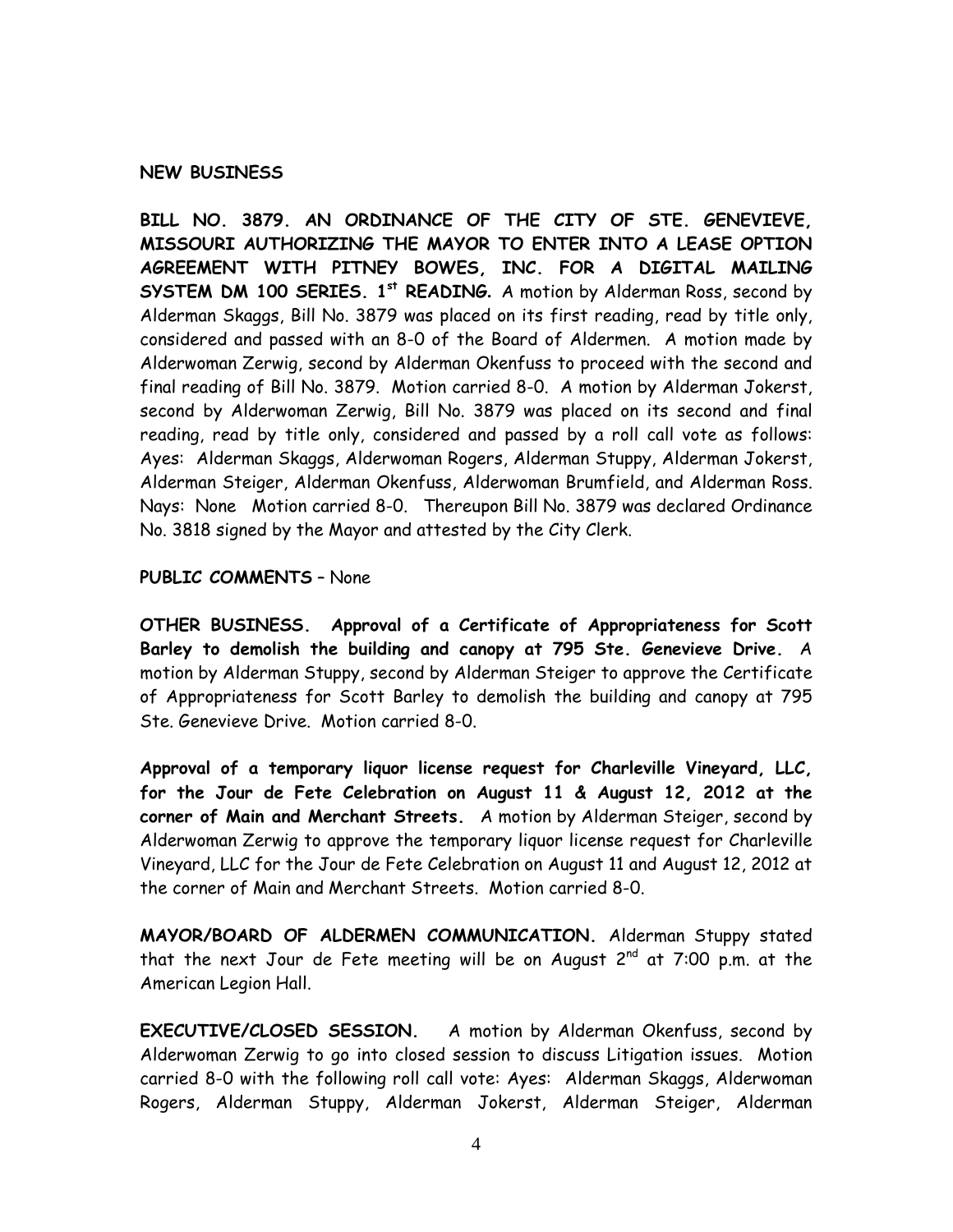### NEW BUSINESS

BILL NO. 3879. AN ORDINANCE OF THE CITY OF STE. GENEVIEVE, MISSOURI AUTHORIZING THE MAYOR TO ENTER INTO A LEASE OPTION AGREEMENT WITH PITNEY BOWES, INC. FOR A DIGITAL MAILING SYSTEM DM 100 SERIES. 1<sup>st</sup> READING. A motion by Alderman Ross, second by Alderman Skaggs, Bill No. 3879 was placed on its first reading, read by title only, considered and passed with an 8-0 of the Board of Aldermen. A motion made by Alderwoman Zerwig, second by Alderman Okenfuss to proceed with the second and final reading of Bill No. 3879. Motion carried 8-0. A motion by Alderman Jokerst, second by Alderwoman Zerwig, Bill No. 3879 was placed on its second and final reading, read by title only, considered and passed by a roll call vote as follows: Ayes: Alderman Skaggs, Alderwoman Rogers, Alderman Stuppy, Alderman Jokerst, Alderman Steiger, Alderman Okenfuss, Alderwoman Brumfield, and Alderman Ross. Nays: None Motion carried 8-0. Thereupon Bill No. 3879 was declared Ordinance No. 3818 signed by the Mayor and attested by the City Clerk.

## PUBLIC COMMENTS – None

OTHER BUSINESS. Approval of a Certificate of Appropriateness for Scott Barley to demolish the building and canopy at 795 Ste. Genevieve Drive. A motion by Alderman Stuppy, second by Alderman Steiger to approve the Certificate of Appropriateness for Scott Barley to demolish the building and canopy at 795 Ste. Genevieve Drive. Motion carried 8-0.

Approval of a temporary liquor license request for Charleville Vineyard, LLC, for the Jour de Fete Celebration on August 11 & August 12, 2012 at the corner of Main and Merchant Streets. A motion by Alderman Steiger, second by Alderwoman Zerwig to approve the temporary liquor license request for Charleville Vineyard, LLC for the Jour de Fete Celebration on August 11 and August 12, 2012 at the corner of Main and Merchant Streets. Motion carried 8-0.

MAYOR/BOARD OF ALDERMEN COMMUNICATION. Alderman Stuppy stated that the next Jour de Fete meeting will be on August  $2^{nd}$  at 7:00 p.m. at the American Legion Hall.

EXECUTIVE/CLOSED SESSION. A motion by Alderman Okenfuss, second by Alderwoman Zerwig to go into closed session to discuss Litigation issues. Motion carried 8-0 with the following roll call vote: Ayes: Alderman Skaggs, Alderwoman Rogers, Alderman Stuppy, Alderman Jokerst, Alderman Steiger, Alderman